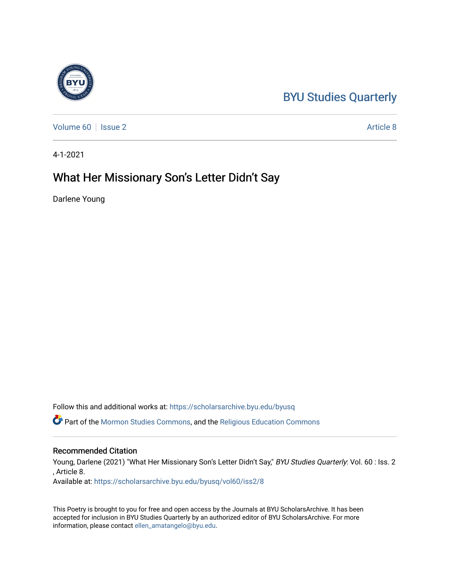## [BYU Studies Quarterly](https://scholarsarchive.byu.edu/byusq)

[Volume 60](https://scholarsarchive.byu.edu/byusq/vol60) | [Issue 2](https://scholarsarchive.byu.edu/byusq/vol60/iss2) Article 8

4-1-2021

## What Her Missionary Son's Letter Didn't Say

Darlene Young

Follow this and additional works at: [https://scholarsarchive.byu.edu/byusq](https://scholarsarchive.byu.edu/byusq?utm_source=scholarsarchive.byu.edu%2Fbyusq%2Fvol60%2Fiss2%2F8&utm_medium=PDF&utm_campaign=PDFCoverPages) 

Part of the [Mormon Studies Commons](http://network.bepress.com/hgg/discipline/1360?utm_source=scholarsarchive.byu.edu%2Fbyusq%2Fvol60%2Fiss2%2F8&utm_medium=PDF&utm_campaign=PDFCoverPages), and the [Religious Education Commons](http://network.bepress.com/hgg/discipline/1414?utm_source=scholarsarchive.byu.edu%2Fbyusq%2Fvol60%2Fiss2%2F8&utm_medium=PDF&utm_campaign=PDFCoverPages) 

## Recommended Citation

Young, Darlene (2021) "What Her Missionary Son's Letter Didn't Say," BYU Studies Quarterly: Vol. 60 : Iss. 2 , Article 8.

Available at: [https://scholarsarchive.byu.edu/byusq/vol60/iss2/8](https://scholarsarchive.byu.edu/byusq/vol60/iss2/8?utm_source=scholarsarchive.byu.edu%2Fbyusq%2Fvol60%2Fiss2%2F8&utm_medium=PDF&utm_campaign=PDFCoverPages)

This Poetry is brought to you for free and open access by the Journals at BYU ScholarsArchive. It has been accepted for inclusion in BYU Studies Quarterly by an authorized editor of BYU ScholarsArchive. For more information, please contact [ellen\\_amatangelo@byu.edu.](mailto:ellen_amatangelo@byu.edu)